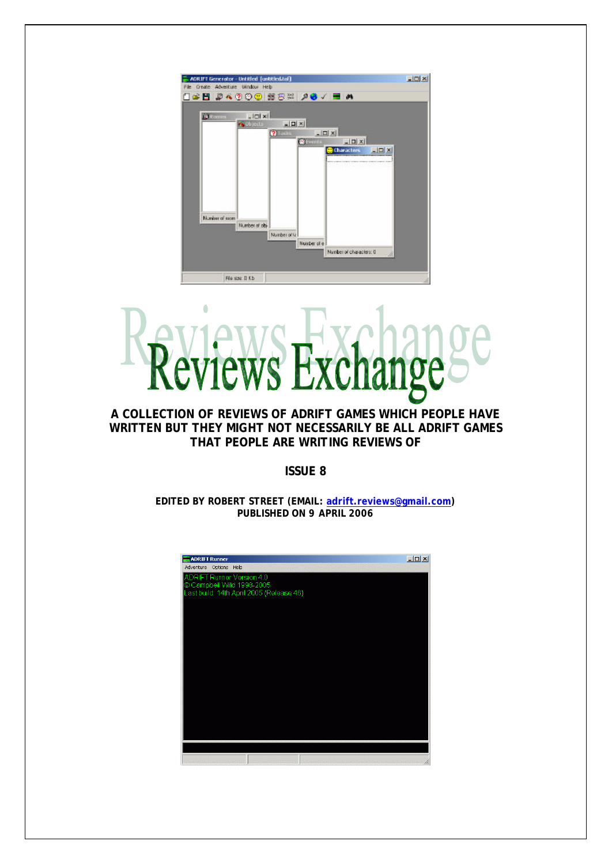

# $\ddot{\phantom{a}}$ VS

## **A COLLECTION OF REVIEWS OF ADRIFT GAMES WHICH PEOPLE HAVE WRITTEN BUT THEY MIGHT NOT NECESSARILY BE ALL ADRIFT GAMES THAT PEOPLE ARE WRITING REVIEWS OF**

**ISSUE 8**

**EDITED BY ROBERT STREET (EMAIL: adrift.reviews@gmail.com) PUBLISHED ON 9 APRIL 2006**

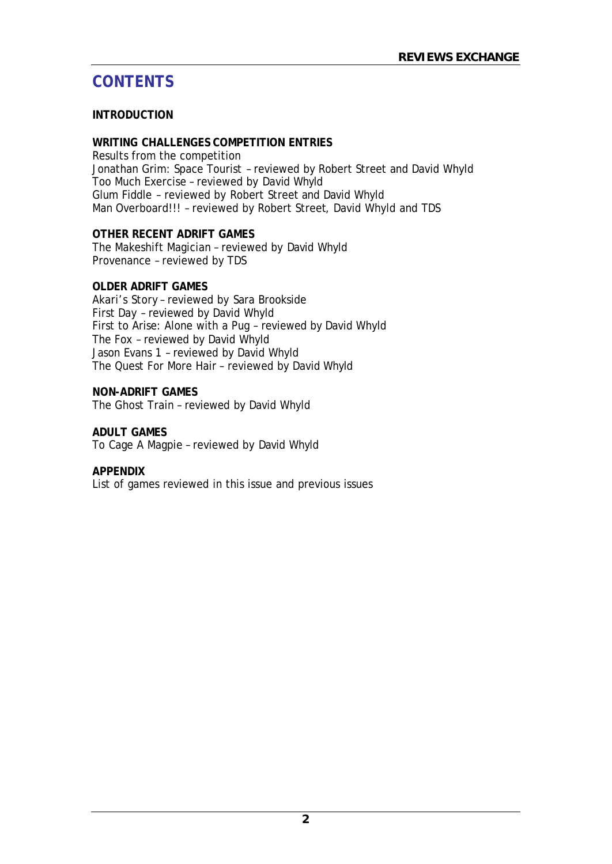# **CONTENTS**

## **INTRODUCTION**

## **WRITING CHALLENGES COMPETITION ENTRIES**

Results from the competition Jonathan Grim: Space Tourist – reviewed by Robert Street and David Whyld Too Much Exercise – reviewed by David Whyld Glum Fiddle – reviewed by Robert Street and David Whyld Man Overboard!!! – reviewed by Robert Street, David Whyld and TDS

## **OTHER RECENT ADRIFT GAMES**

The Makeshift Magician – reviewed by David Whyld Provenance – reviewed by TDS

#### **OLDER ADRIFT GAMES**

Akari's Story – reviewed by Sara Brookside First Day – reviewed by David Whyld First to Arise: Alone with a Pug – reviewed by David Whyld The Fox – reviewed by David Whyld Jason Evans 1 – reviewed by David Whyld The Quest For More Hair – reviewed by David Whyld

## **NON-ADRIFT GAMES**

The Ghost Train – reviewed by David Whyld

#### **ADULT GAMES**

To Cage A Magpie – reviewed by David Whyld

#### **APPENDIX**

List of games reviewed in this issue and previous issues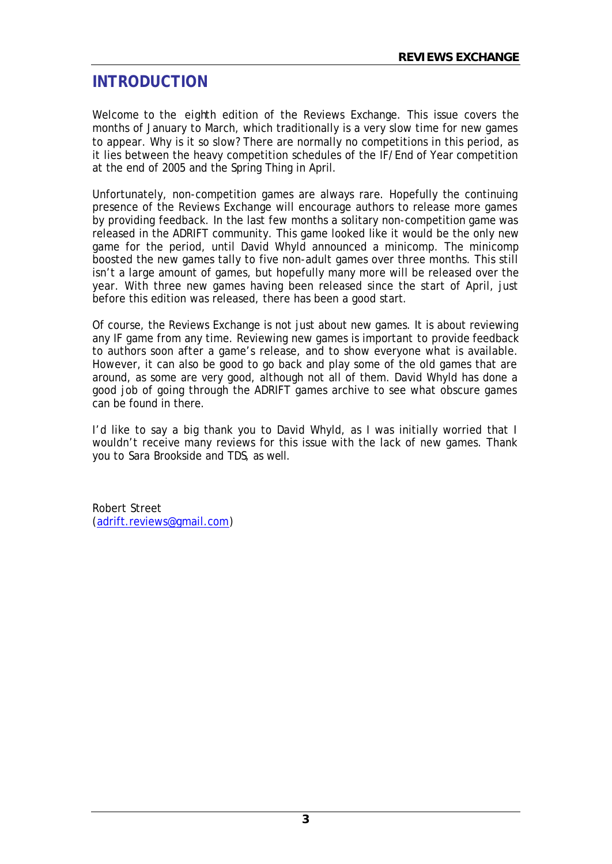# **INTRODUCTION**

Welcome to the eighth edition of the Reviews Exchange. This issue covers the months of January to March, which traditionally is a very slow time for new games to appear. Why is it so slow? There are normally no competitions in this period, as it lies between the heavy competition schedules of the IF/End of Year competition at the end of 2005 and the Spring Thing in April.

Unfortunately, non-competition games are always rare. Hopefully the continuing presence of the Reviews Exchange will encourage authors to release more games by providing feedback. In the last few months a solitary non-competition game was released in the ADRIFT community. This game looked like it would be the only new game for the period, until David Whyld announced a minicomp. The minicomp boosted the new games tally to five non-adult games over three months. This still isn't a large amount of games, but hopefully many more will be released over the year. With three new games having been released since the start of April, just before this edition was released, there has been a good start.

Of course, the Reviews Exchange is not just about new games. It is about reviewing any IF game from any time. Reviewing new games is important to provide feedback to authors soon after a game's release, and to show everyone what is available. However, it can also be good to go back and play some of the old games that are around, as some are very good, although not all of them. David Whyld has done a good job of going through the ADRIFT games archive to see what obscure games can be found in there.

I'd like to say a big thank you to David Whyld, as I was initially worried that I wouldn't receive many reviews for this issue with the lack of new games. Thank you to Sara Brookside and TDS, as well.

Robert Street (adrift.reviews@gmail.com)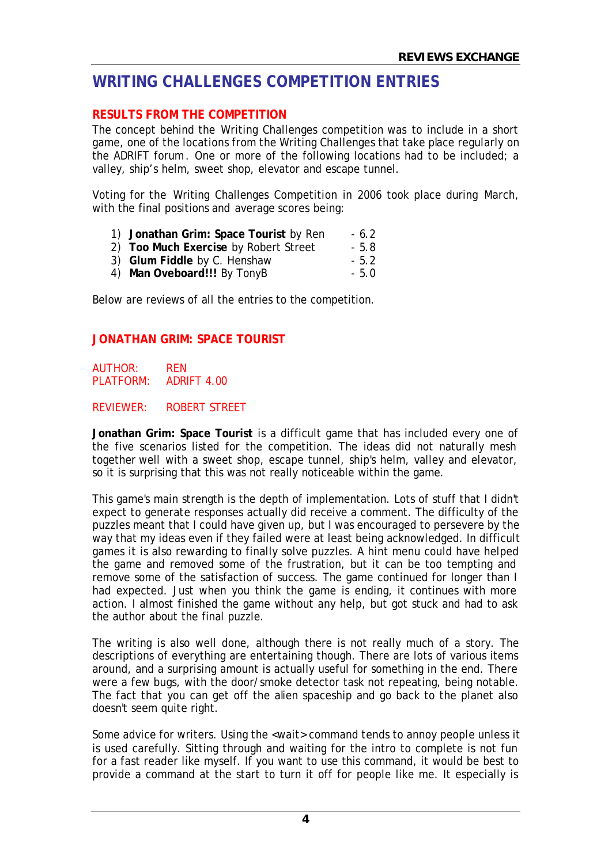# **WRITING CHALLENGES COMPETITION ENTRIES**

# **RESULTS FROM THE COMPETITION**

The concept behind the Writing Challenges competition was to include in a short game, one of the locations from the Writing Challenges that take place regularly on the ADRIFT forum. One or more of the following locations had to be included; a valley, ship's helm, sweet shop, elevator and escape tunnel.

Voting for the Writing Challenges Competition in 2006 took place during March, with the final positions and average scores being:

- 1) **Jonathan Grim: Space Tourist** by Ren 6.2
- 2) **Too Much Exercise** by Robert Street 5.8
- 3) **Glum Fiddle** by C. Henshaw 5.2
- 4) **Man Oveboard!!!** By TonyB 5.0

Below are reviews of all the entries to the competition.

# **JONATHAN GRIM: SPACE TOURIST**

AUTHOR: REN PLATFORM: ADRIFT 4.00

#### REVIEWER: ROBERT STREET

**Jonathan Grim: Space Tourist** is a difficult game that has included every one of the five scenarios listed for the competition. The ideas did not naturally mesh together well with a sweet shop, escape tunnel, ship's helm, valley and elevator, so it is surprising that this was not really noticeable within the game.

This game's main strength is the depth of implementation. Lots of stuff that I didn't expect to generate responses actually did receive a comment. The difficulty of the puzzles meant that I could have given up, but I was encouraged to persevere by the way that my ideas even if they failed were at least being acknowledged. In difficult games it is also rewarding to finally solve puzzles. A hint menu could have helped the game and removed some of the frustration, but it can be too tempting and remove some of the satisfaction of success. The game continued for longer than I had expected. Just when you think the game is ending, it continues with more action. I almost finished the game without any help, but got stuck and had to ask the author about the final puzzle.

The writing is also well done, although there is not really much of a story. The descriptions of everything are entertaining though. There are lots of various items around, and a surprising amount is actually useful for something in the end. There were a few bugs, with the door/smoke detector task not repeating, being notable. The fact that you can get off the alien spaceship and go back to the planet also doesn't seem quite right.

Some advice for writers. Using the <wait> command tends to annoy people unless it is used carefully. Sitting through and waiting for the intro to complete is not fun for a fast reader like myself. If you want to use this command, it would be best to provide a command at the start to turn it off for people like me. It especially is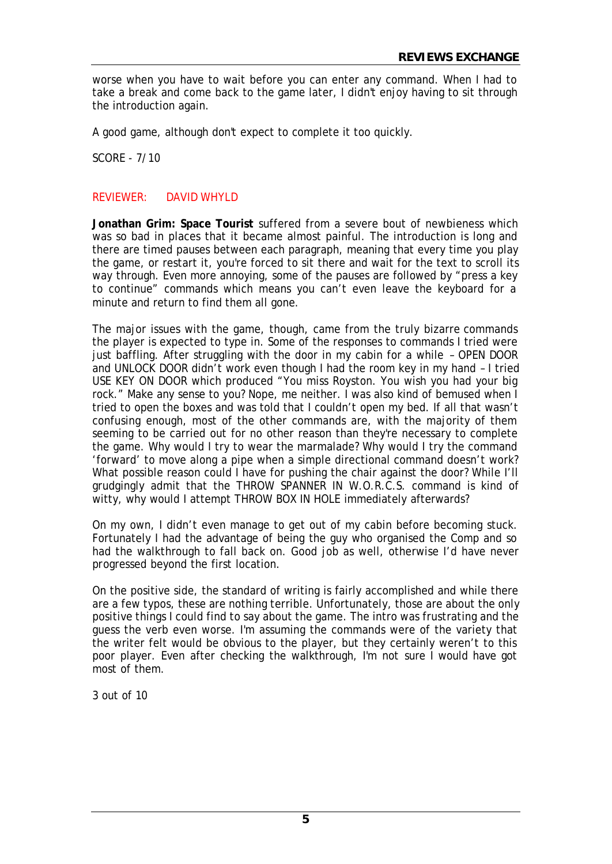worse when you have to wait before you can enter any command. When I had to take a break and come back to the game later, I didn't enjoy having to sit through the introduction again.

A good game, although don't expect to complete it too quickly.

SCORE - 7/10

#### REVIEWER: DAVID WHYLD

**Jonathan Grim: Space Tourist** suffered from a severe bout of newbieness which was so bad in places that it became almost painful. The introduction is long and there are timed pauses between each paragraph, meaning that every time you play the game, or restart it, you're forced to sit there and wait for the text to scroll its way through. Even more annoying, some of the pauses are followed by "press a key to continue" commands which means you can't even leave the keyboard for a minute and return to find them all gone.

The major issues with the game, though, came from the truly bizarre commands the player is expected to type in. Some of the responses to commands I tried were just baffling. After struggling with the door in my cabin for a while – OPEN DOOR and UNLOCK DOOR didn't work even though I had the room key in my hand – I tried USE KEY ON DOOR which produced "You miss Royston. You wish you had your big rock." Make any sense to you? Nope, me neither. I was also kind of bemused when I tried to open the boxes and was told that I couldn't open my bed. If all that wasn't confusing enough, most of the other commands are, with the majority of them seeming to be carried out for no other reason than they're necessary to complete the game. Why would I try to wear the marmalade? Why would I try the command 'forward' to move along a pipe when a simple directional command doesn't work? What possible reason could I have for pushing the chair against the door? While I'll grudgingly admit that the THROW SPANNER IN W.O.R.C.S. command is kind of witty, why would I attempt THROW BOX IN HOLE immediately afterwards?

On my own, I didn't even manage to get out of my cabin before becoming stuck. Fortunately I had the advantage of being the guy who organised the Comp and so had the walkthrough to fall back on. Good job as well, otherwise I'd have never progressed beyond the first location.

On the positive side, the standard of writing is fairly accomplished and while there are a few typos, these are nothing terrible. Unfortunately, those are about the only positive things I could find to say about the game. The intro was frustrating and the guess the verb even worse. I'm assuming the commands were of the variety that the writer felt would be obvious to the player, but they certainly weren't to this poor player. Even after checking the walkthrough, I'm not sure I would have got most of them.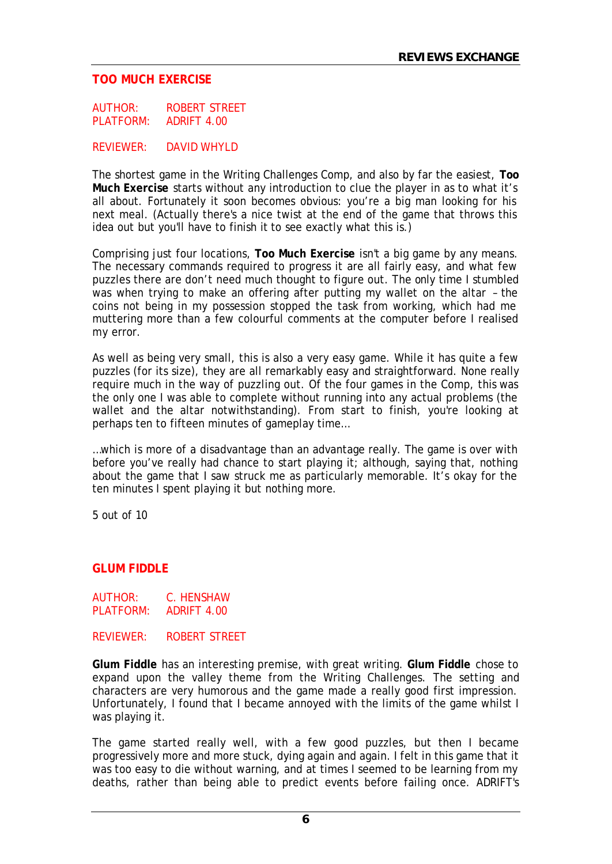#### **TOO MUCH EXERCISE**

AUTHOR: ROBERT STREET PLATFORM: ADRIFT 4.00

REVIEWER: DAVID WHYLD

The shortest game in the Writing Challenges Comp, and also by far the easiest, **Too Much Exercise** starts without any introduction to clue the player in as to what it's all about. Fortunately it soon becomes obvious: you're a big man looking for his next meal. (Actually there's a nice twist at the end of the game that throws this idea out but you'll have to finish it to see exactly what this is.)

Comprising just four locations, **Too Much Exercise** isn't a big game by any means. The necessary commands required to progress it are all fairly easy, and what few puzzles there are don't need much thought to figure out. The only time I stumbled was when trying to make an offering after putting my wallet on the altar – the coins not being in my possession stopped the task from working, which had me muttering more than a few colourful comments at the computer before I realised my error.

As well as being very small, this is also a very easy game. While it has quite a few puzzles (for its size), they are all remarkably easy and straightforward. None really require much in the way of puzzling out. Of the four games in the Comp, this was the only one I was able to complete without running into any actual problems (the wallet and the altar notwithstanding). From start to finish, you're looking at perhaps ten to fifteen minutes of gameplay time…

…which is more of a disadvantage than an advantage really. The game is over with before you've really had chance to start playing it; although, saying that, nothing about the game that I saw struck me as particularly memorable. It's okay for the ten minutes I spent playing it but nothing more.

5 out of 10

#### **GLUM FIDDLE**

AUTHOR: C. HENSHAW PLATFORM: ADRIFT 4.00

REVIEWER: ROBERT STREET

**Glum Fiddle** has an interesting premise, with great writing. **Glum Fiddle** chose to expand upon the valley theme from the Writing Challenges. The setting and characters are very humorous and the game made a really good first impression. Unfortunately, I found that I became annoyed with the limits of the game whilst I was playing it.

The game started really well, with a few good puzzles, but then I became progressively more and more stuck, dying again and again. I felt in this game that it was too easy to die without warning, and at times I seemed to be learning from my deaths, rather than being able to predict events before failing once. ADRIFT's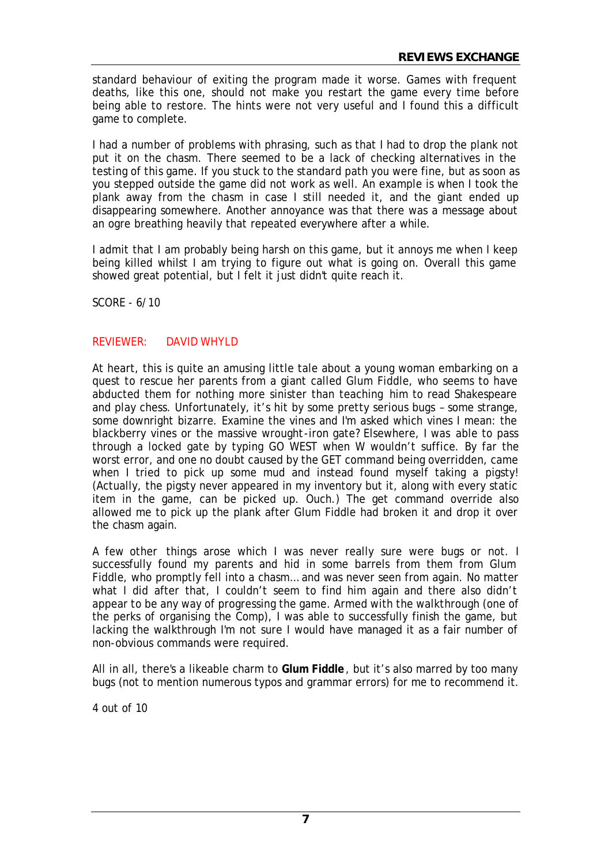standard behaviour of exiting the program made it worse. Games with frequent deaths, like this one, should not make you restart the game every time before being able to restore. The hints were not very useful and I found this a difficult game to complete.

I had a number of problems with phrasing, such as that I had to drop the plank not put it on the chasm. There seemed to be a lack of checking alternatives in the testing of this game. If you stuck to the standard path you were fine, but as soon as you stepped outside the game did not work as well. An example is when I took the plank away from the chasm in case I still needed it, and the giant ended up disappearing somewhere. Another annoyance was that there was a message about an ogre breathing heavily that repeated everywhere after a while.

I admit that I am probably being harsh on this game, but it annoys me when I keep being killed whilst I am trying to figure out what is going on. Overall this game showed great potential, but I felt it just didn't quite reach it.

SCORE - 6/10

#### REVIEWER: DAVID WHYLD

At heart, this is quite an amusing little tale about a young woman embarking on a quest to rescue her parents from a giant called Glum Fiddle, who seems to have abducted them for nothing more sinister than teaching him to read Shakespeare and play chess. Unfortunately, it's hit by some pretty serious bugs – some strange, some downright bizarre. Examine the vines and I'm asked which vines I mean: the blackberry vines or the massive wrought-iron gate? Elsewhere, I was able to pass through a locked gate by typing GO WEST when W wouldn't suffice. By far the worst error, and one no doubt caused by the GET command being overridden, came when I tried to pick up some mud and instead found myself taking a pigsty! (Actually, the pigsty never appeared in my inventory but it, along with every static item in the game, can be picked up. Ouch.) The get command override also allowed me to pick up the plank after Glum Fiddle had broken it and drop it over the chasm again.

A few other things arose which I was never really sure were bugs or not. I successfully found my parents and hid in some barrels from them from Glum Fiddle, who promptly fell into a chasm… and was never seen from again. No matter what I did after that, I couldn't seem to find him again and there also didn't appear to be any way of progressing the game. Armed with the walkthrough (one of the perks of organising the Comp), I was able to successfully finish the game, but lacking the walkthrough I'm not sure I would have managed it as a fair number of non-obvious commands were required.

All in all, there's a likeable charm to **Glum Fiddle**, but it's also marred by too many bugs (not to mention numerous typos and grammar errors) for me to recommend it.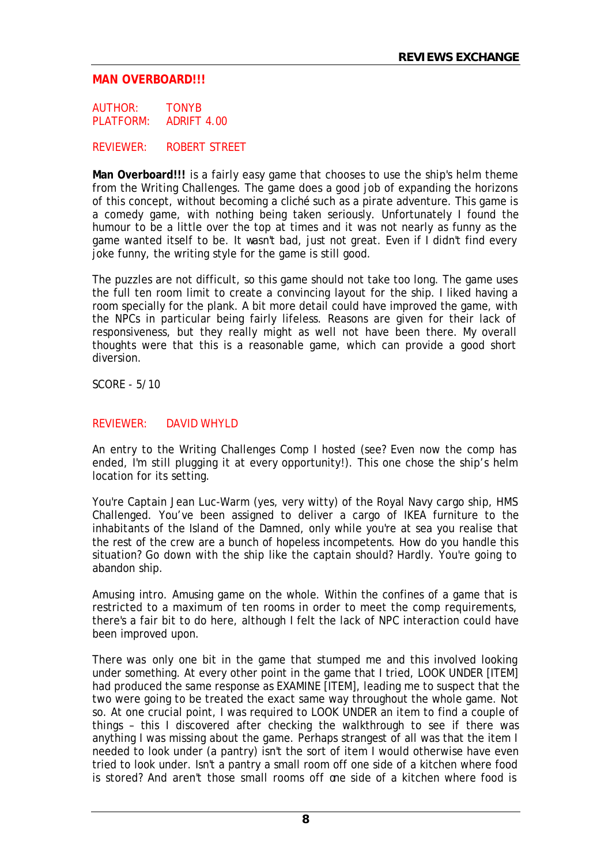#### **MAN OVERBOARD!!!**

AUTHOR: TONYB PLATFORM: ADRIFT 4.00

REVIEWER: ROBERT STREET

**Man Overboard!!!** is a fairly easy game that chooses to use the ship's helm theme from the Writing Challenges. The game does a good job of expanding the horizons of this concept, without becoming a cliché such as a pirate adventure. This game is a comedy game, with nothing being taken seriously. Unfortunately I found the humour to be a little over the top at times and it was not nearly as funny as the game wanted itself to be. It wasn't bad, just not great. Even if I didn't find every joke funny, the writing style for the game is still good.

The puzzles are not difficult, so this game should not take too long. The game uses the full ten room limit to create a convincing layout for the ship. I liked having a room specially for the plank. A bit more detail could have improved the game, with the NPCs in particular being fairly lifeless. Reasons are given for their lack of responsiveness, but they really might as well not have been there. My overall thoughts were that this is a reasonable game, which can provide a good short diversion.

SCORE - 5/10

#### REVIEWER: DAVID WHYLD

An entry to the Writing Challenges Comp I hosted (see? Even now the comp has ended, I'm still plugging it at every opportunity!). This one chose the ship's helm location for its setting.

You're Captain Jean Luc-Warm (yes, very witty) of the Royal Navy cargo ship, HMS Challenged. You've been assigned to deliver a cargo of IKEA furniture to the inhabitants of the Island of the Damned, only while you're at sea you realise that the rest of the crew are a bunch of hopeless incompetents. How do you handle this situation? Go down with the ship like the captain should? Hardly. You're going to abandon ship.

Amusing intro. Amusing game on the whole. Within the confines of a game that is restricted to a maximum of ten rooms in order to meet the comp requirements, there's a fair bit to do here, although I felt the lack of NPC interaction could have been improved upon.

There was only one bit in the game that stumped me and this involved looking under something. At every other point in the game that I tried, LOOK UNDER [ITEM] had produced the same response as EXAMINE [ITEM], leading me to suspect that the two were going to be treated the exact same way throughout the whole game. Not so. At one crucial point, I was required to LOOK UNDER an item to find a couple of things – this I discovered after checking the walkthrough to see if there was anything I was missing about the game. Perhaps strangest of all was that the item I needed to look under (a pantry) isn't the sort of item I would otherwise have even tried to look under. Isn't a pantry a small room off one side of a kitchen where food is stored? And aren't those small rooms off one side of a kitchen where food is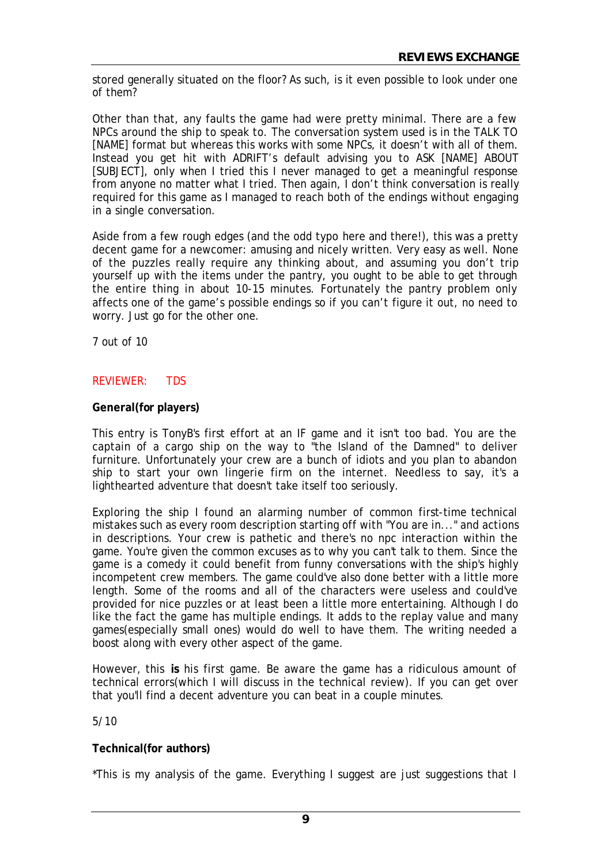stored generally situated on the floor? As such, is it even possible to look under one of them?

Other than that, any faults the game had were pretty minimal. There are a few NPCs around the ship to speak to. The conversation system used is in the TALK TO [NAME] format but whereas this works with some NPCs, it doesn't with all of them. Instead you get hit with ADRIFT's default advising you to ASK [NAME] ABOUT [SUBJECT], only when I tried this I never managed to get a meaningful response from anyone no matter what I tried. Then again, I don't think conversation is really required for this game as I managed to reach both of the endings without engaging in a single conversation.

Aside from a few rough edges (and the odd typo here and there!), this was a pretty decent game for a newcomer: amusing and nicely written. Very easy as well. None of the puzzles really require any thinking about, and assuming you don't trip yourself up with the items under the pantry, you ought to be able to get through the entire thing in about 10-15 minutes. Fortunately the pantry problem only affects one of the game's possible endings so if you can't figure it out, no need to worry. Just go for the other one.

7 out of 10

## REVIEWER: TDS

#### **General(for players)**

This entry is TonyB's first effort at an IF game and it isn't too bad. You are the captain of a cargo ship on the way to "the Island of the Damned" to deliver furniture. Unfortunately your crew are a bunch of idiots and you plan to abandon ship to start your own lingerie firm on the internet. Needless to say, it's a lighthearted adventure that doesn't take itself too seriously.

Exploring the ship I found an alarming number of common first-time technical mistakes such as every room description starting off with "You are in..." and actions in descriptions. Your crew is pathetic and there's no npc interaction within the game. You're given the common excuses as to why you can't talk to them. Since the game is a comedy it could benefit from funny conversations with the ship's highly incompetent crew members. The game could've also done better with a little more length. Some of the rooms and all of the characters were useless and could've provided for nice puzzles or at least been a little more entertaining. Although I do like the fact the game has multiple endings. It adds to the replay value and many games(especially small ones) would do well to have them. The writing needed a boost along with every other aspect of the game.

However, this **is** his first game. Be aware the game has a ridiculous amount of technical errors(which I will discuss in the technical review). If you can get over that you'll find a decent adventure you can beat in a couple minutes.

5/10

#### **Technical(for authors)**

\*This is my analysis of the game. Everything I suggest are just suggestions that I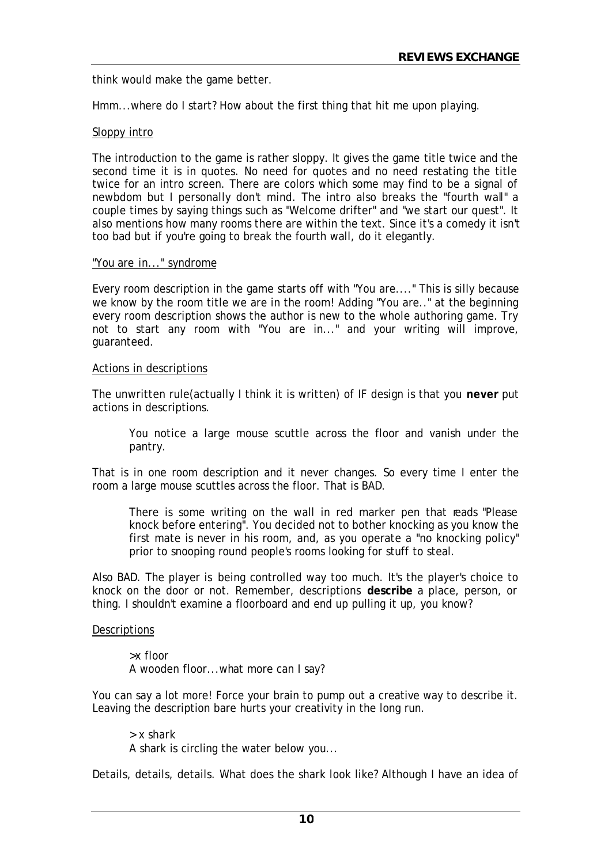think would make the game better.

Hmm...where do I start? How about the first thing that hit me upon playing.

#### Sloppy intro

The introduction to the game is rather sloppy. It gives the game title twice and the second time it is in quotes. No need for quotes and no need restating the title twice for an intro screen. There are colors which some may find to be a signal of newbdom but I personally don't mind. The intro also breaks the "fourth wall" a couple times by saying things such as "Welcome drifter" and "we start our quest". It also mentions how many rooms there are within the text. Since it's a comedy it isn't too bad but if you're going to break the fourth wall, do it elegantly.

#### "You are in..." syndrome

Every room description in the game starts off with "You are...." This is silly because we know by the room title we are in the room! Adding "You are.." at the beginning every room description shows the author is new to the whole authoring game. Try not to start any room with "You are in..." and your writing will improve, guaranteed.

#### Actions in descriptions

The unwritten rule(actually I think it is written) of IF design is that you **never** put actions in descriptions.

You notice a large mouse scuttle across the floor and vanish under the pantry.

That is in one room description and it never changes. So every time I enter the room a large mouse scuttles across the floor. That is BAD.

There is some writing on the wall in red marker pen that reads "Please" knock before entering". You decided not to bother knocking as you know the first mate is never in his room, and, as you operate a "no knocking policy" prior to snooping round people's rooms looking for stuff to steal.

Also BAD. The player is being controlled way too much. It's the player's choice to knock on the door or not. Remember, descriptions **describe** a place, person, or thing. I shouldn't examine a floorboard and end up pulling it up, you know?

#### **Descriptions**

>x floor A wooden floor...what more can I say?

You can say a lot more! Force your brain to pump out a creative way to describe it. Leaving the description bare hurts your creativity in the long run.

> x shark A shark is circling the water below you...

Details, details, details. What does the shark look like? Although I have an idea of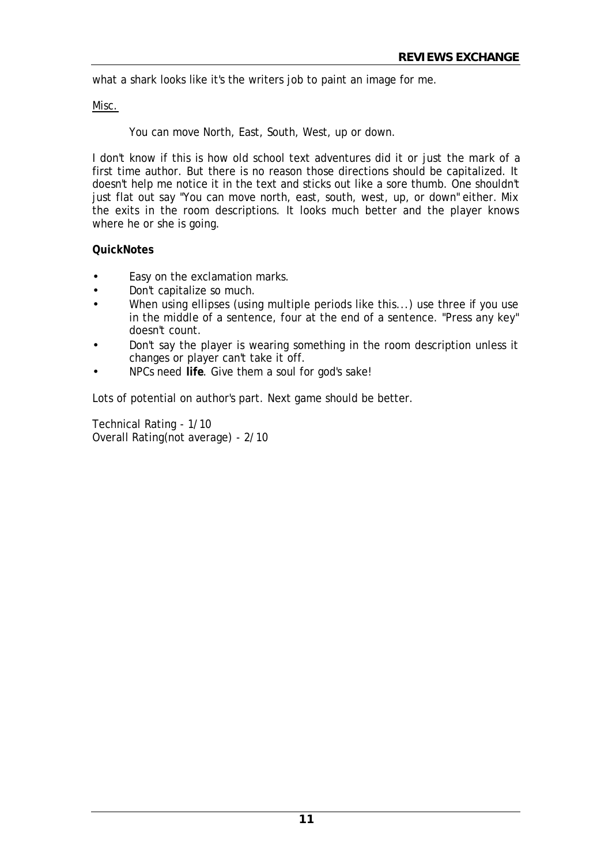what a shark looks like it's the writers job to paint an image for me.

#### Misc.

You can move North, East, South, West, up or down.

I don't know if this is how old school text adventures did it or just the mark of a first time author. But there is no reason those directions should be capitalized. It doesn't help me notice it in the text and sticks out like a sore thumb. One shouldn't just flat out say "You can move north, east, south, west, up, or down" either. Mix the exits in the room descriptions. It looks much better and the player knows where he or she is going.

#### **QuickNotes**

- Easy on the exclamation marks.
- Don't capitalize so much.
- When using ellipses (using multiple periods like this...) use three if you use in the middle of a sentence, four at the end of a sentence. "Press any key" doesn't count.
- Don't say the player is wearing something in the room description unless it changes or player can't take it off.
- NPCs need **life**. Give them a soul for god's sake!

Lots of potential on author's part. Next game should be better.

Technical Rating - 1/10 Overall Rating(not average) - 2/10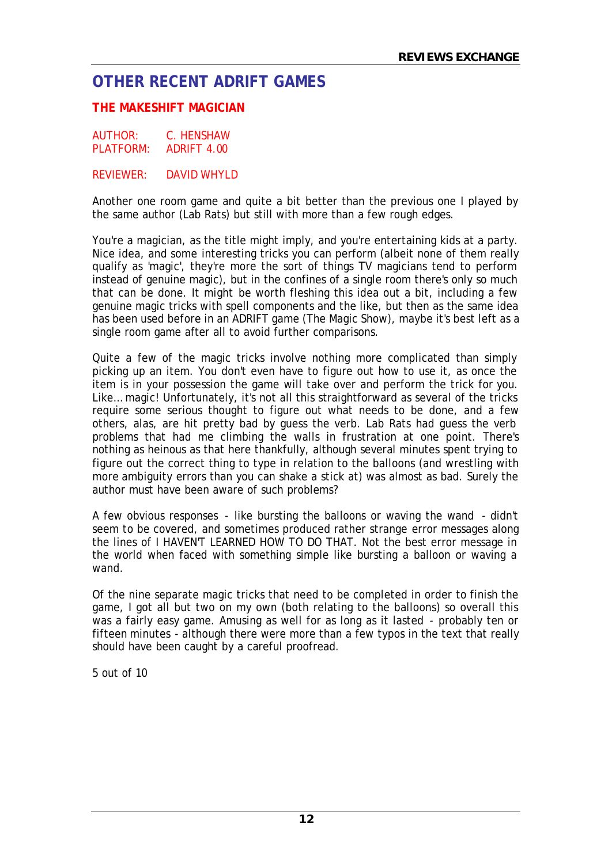# **OTHER RECENT ADRIFT GAMES**

# **THE MAKESHIFT MAGICIAN**

AUTHOR: C. HENSHAW PLATFORM: ADRIFT 4.00

REVIEWER: DAVID WHYLD

Another one room game and quite a bit better than the previous one I played by the same author (Lab Rats) but still with more than a few rough edges.

You're a magician, as the title might imply, and you're entertaining kids at a party. Nice idea, and some interesting tricks you can perform (albeit none of them really qualify as 'magic', they're more the sort of things TV magicians tend to perform instead of genuine magic), but in the confines of a single room there's only so much that can be done. It might be worth fleshing this idea out a bit, including a few genuine magic tricks with spell components and the like, but then as the same idea has been used before in an ADRIFT game (The Magic Show), maybe it's best left as a single room game after all to avoid further comparisons.

Quite a few of the magic tricks involve nothing more complicated than simply picking up an item. You don't even have to figure out how to use it, as once the item is in your possession the game will take over and perform the trick for you. Like… magic! Unfortunately, it's not all this straightforward as several of the tricks require some serious thought to figure out what needs to be done, and a few others, alas, are hit pretty bad by guess the verb. Lab Rats had guess the verb problems that had me climbing the walls in frustration at one point. There's nothing as heinous as that here thankfully, although several minutes spent trying to figure out the correct thing to type in relation to the balloons (and wrestling with more ambiguity errors than you can shake a stick at) was almost as bad. Surely the author must have been aware of such problems?

A few obvious responses - like bursting the balloons or waving the wand - didn't seem to be covered, and sometimes produced rather strange error messages along the lines of I HAVEN'T LEARNED HOW TO DO THAT. Not the best error message in the world when faced with something simple like bursting a balloon or waving a wand.

Of the nine separate magic tricks that need to be completed in order to finish the game, I got all but two on my own (both relating to the balloons) so overall this was a fairly easy game. Amusing as well for as long as it lasted - probably ten or fifteen minutes - although there were more than a few typos in the text that really should have been caught by a careful proofread.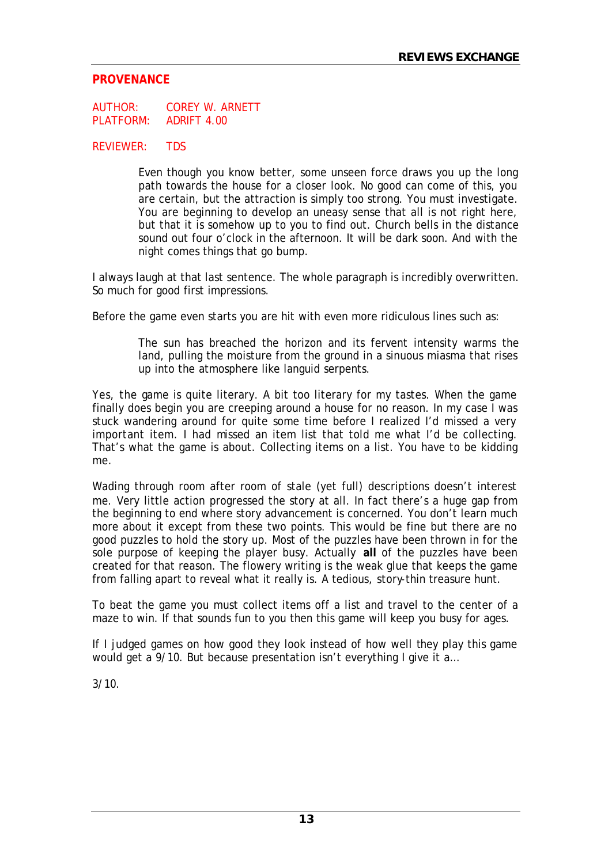#### **PROVENANCE**

AUTHOR: COREY W. ARNETT PLATFORM: ADRIFT 4.00

#### REVIEWER: TDS

Even though you know better, some unseen force draws you up the long path towards the house for a closer look. No good can come of this, you are certain, but the attraction is simply too strong. You must investigate. You are beginning to develop an uneasy sense that all is not right here, but that it is somehow up to you to find out. Church bells in the distance sound out four o'clock in the afternoon. It will be dark soon. And with the night comes things that go bump.

I always laugh at that last sentence. The whole paragraph is incredibly overwritten. So much for good first impressions.

Before the game even starts you are hit with even more ridiculous lines such as:

The sun has breached the horizon and its fervent intensity warms the land, pulling the moisture from the ground in a sinuous miasma that rises up into the atmosphere like languid serpents.

Yes, the game is quite literary. A bit too literary for my tastes. When the game finally does begin you are creeping around a house for no reason. In my case I was stuck wandering around for quite some time before I realized I'd missed a very important item. I had missed an item list that told me what I'd be collecting. That's what the game is about. Collecting items on a list. You have to be kidding me.

Wading through room after room of stale (yet full) descriptions doesn't interest me. Very little action progressed the story at all. In fact there's a huge gap from the beginning to end where story advancement is concerned. You don't learn much more about it except from these two points. This would be fine but there are no good puzzles to hold the story up. Most of the puzzles have been thrown in for the sole purpose of keeping the player busy. Actually **all** of the puzzles have been created for that reason. The flowery writing is the weak glue that keeps the game from falling apart to reveal what it really is. A tedious, story-thin treasure hunt.

To beat the game you must collect items off a list and travel to the center of a maze to win. If that sounds fun to you then this game will keep you busy for ages.

If I judged games on how good they look instead of how well they play this game would get a 9/10. But because presentation isn't everything I give it a...

 $3/10$ .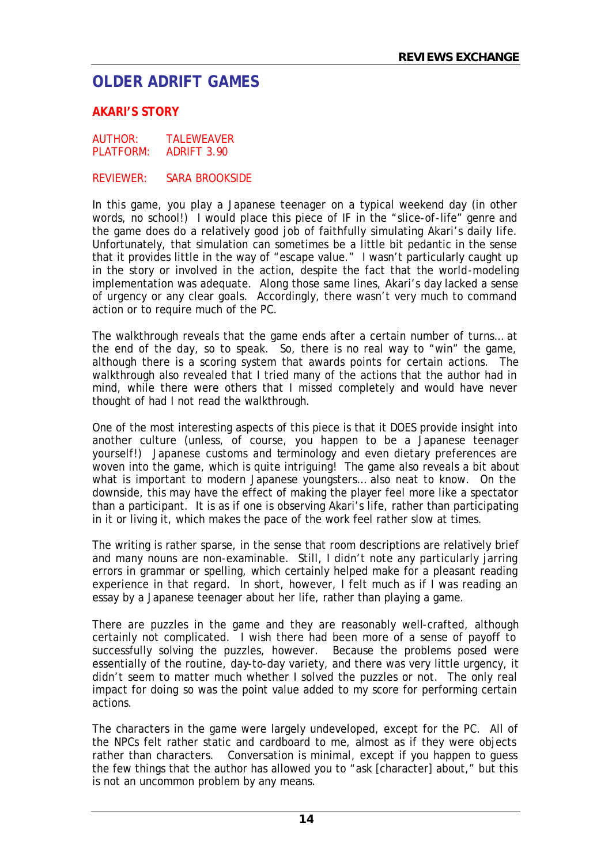# **OLDER ADRIFT GAMES**

#### **AKARI'S STORY**

AUTHOR: TALEWEAVER PLATFORM: ADRIFT 3.90

REVIEWER: SARA BROOKSIDE

In this game, you play a Japanese teenager on a typical weekend day (in other words, no school!) I would place this piece of IF in the "slice-of-life" genre and the game does do a relatively good job of faithfully simulating Akari's daily life. Unfortunately, that simulation can sometimes be a little bit pedantic in the sense that it provides little in the way of "escape value." I wasn't particularly caught up in the story or involved in the action, despite the fact that the world-modeling implementation was adequate. Along those same lines, Akari's day lacked a sense of urgency or any clear goals. Accordingly, there wasn't very much to command action or to require much of the PC.

The walkthrough reveals that the game ends after a certain number of turns… at the end of the day, so to speak. So, there is no real way to "win" the game, although there is a scoring system that awards points for certain actions. The walkthrough also revealed that I tried many of the actions that the author had in mind, while there were others that I missed completely and would have never thought of had I not read the walkthrough.

One of the most interesting aspects of this piece is that it DOES provide insight into another culture (unless, of course, you happen to be a Japanese teenager yourself!) Japanese customs and terminology and even dietary preferences are woven into the game, which is quite intriguing! The game also reveals a bit about what is important to modern Japanese youngsters… also neat to know. On the downside, this may have the effect of making the player feel more like a spectator than a participant. It is as if one is observing Akari's life, rather than participating in it or living it, which makes the pace of the work feel rather slow at times.

The writing is rather sparse, in the sense that room descriptions are relatively brief and many nouns are non-examinable. Still, I didn't note any particularly jarring errors in grammar or spelling, which certainly helped make for a pleasant reading experience in that regard. In short, however, I felt much as if I was reading an essay by a Japanese teenager about her life, rather than playing a game.

There are puzzles in the game and they are reasonably well-crafted, although certainly not complicated. I wish there had been more of a sense of payoff to successfully solving the puzzles, however. Because the problems posed were essentially of the routine, day-to-day variety, and there was very little urgency, it didn't seem to matter much whether I solved the puzzles or not. The only real impact for doing so was the point value added to my score for performing certain actions.

The characters in the game were largely undeveloped, except for the PC. All of the NPCs felt rather static and cardboard to me, almost as if they were objects rather than characters. Conversation is minimal, except if you happen to guess the few things that the author has allowed you to "ask [character] about," but this is not an uncommon problem by any means.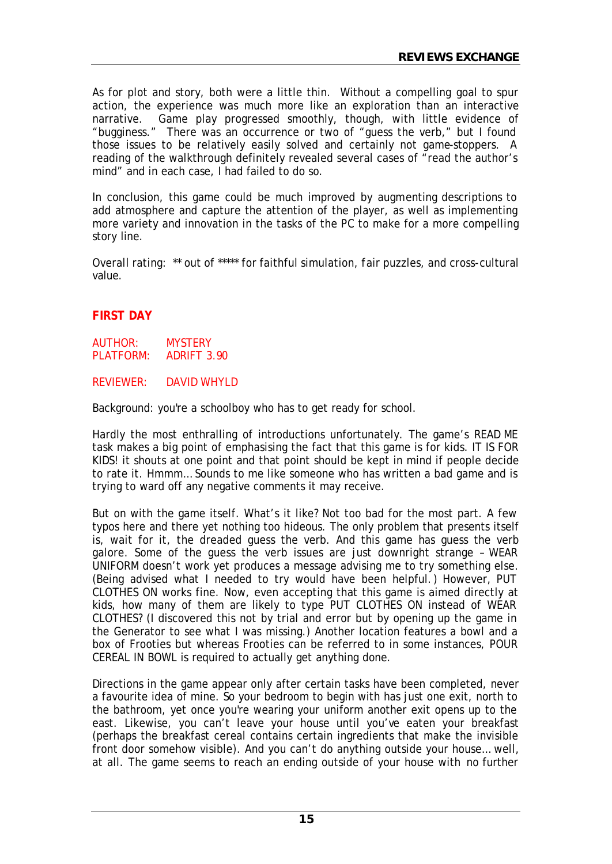As for plot and story, both were a little thin. Without a compelling goal to spur action, the experience was much more like an exploration than an interactive narrative. Game play progressed smoothly, though, with little evidence of "bugginess." There was an occurrence or two of "guess the verb," but I found those issues to be relatively easily solved and certainly not game-stoppers. A reading of the walkthrough definitely revealed several cases of "read the author's mind" and in each case, I had failed to do so.

In conclusion, this game could be much improved by augmenting descriptions to add atmosphere and capture the attention of the player, as well as implementing more variety and innovation in the tasks of the PC to make for a more compelling story line.

Overall rating: \*\* out of \*\*\*\*\* for faithful simulation, fair puzzles, and cross-cultural value.

# **FIRST DAY**

AUTHOR: MYSTERY PLATFORM: ADRIFT 3.90

REVIEWER: DAVID WHYLD

Background: you're a schoolboy who has to get ready for school.

Hardly the most enthralling of introductions unfortunately. The game's READ ME task makes a big point of emphasising the fact that this game is for kids. IT IS FOR KIDS! it shouts at one point and that point should be kept in mind if people decide to rate it. Hmmm… Sounds to me like someone who has written a bad game and is trying to ward off any negative comments it may receive.

But on with the game itself. What's it like? Not too bad for the most part. A few typos here and there yet nothing too hideous. The only problem that presents itself is, wait for it, the dreaded guess the verb. And this game has guess the verb galore. Some of the guess the verb issues are just downright strange – WEAR UNIFORM doesn't work yet produces a message advising me to try something else. (Being advised what I needed to try would have been helpful.) However, PUT CLOTHES ON works fine. Now, even accepting that this game is aimed directly at kids, how many of them are likely to type PUT CLOTHES ON instead of WEAR CLOTHES? (I discovered this not by trial and error but by opening up the game in the Generator to see what I was missing.) Another location features a bowl and a box of Frooties but whereas Frooties can be referred to in some instances, POUR CEREAL IN BOWL is required to actually get anything done.

Directions in the game appear only after certain tasks have been completed, never a favourite idea of mine. So your bedroom to begin with has just one exit, north to the bathroom, yet once you're wearing your uniform another exit opens up to the east. Likewise, you can't leave your house until you've eaten your breakfast (perhaps the breakfast cereal contains certain ingredients that make the invisible front door somehow visible). And you can't do anything outside your house… well, at all. The game seems to reach an ending outside of your house with no further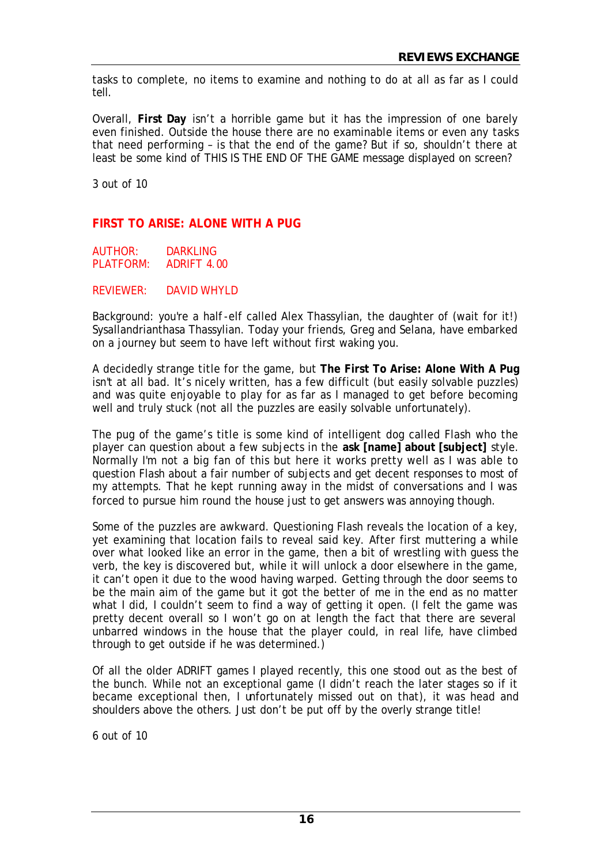tasks to complete, no items to examine and nothing to do at all as far as I could tell.

Overall, **First Day** isn't a horrible game but it has the impression of one barely even finished. Outside the house there are no examinable items or even any tasks that need performing – is that the end of the game? But if so, shouldn't there at least be some kind of THIS IS THE END OF THE GAME message displayed on screen?

3 out of 10

## **FIRST TO ARISE: ALONE WITH A PUG**

AUTHOR: DARKLING PLATFORM: ADRIFT 4.00

REVIEWER: DAVID WHYLD

Background: you're a half-elf called Alex Thassylian, the daughter of (wait for it!) Sysallandrianthasa Thassylian. Today your friends, Greg and Selana, have embarked on a journey but seem to have left without first waking you.

A decidedly strange title for the game, but **The First To Arise: Alone With A Pug** isn't at all bad. It's nicely written, has a few difficult (but easily solvable puzzles) and was quite enjoyable to play for as far as I managed to get before becoming well and truly stuck (not all the puzzles are easily solvable unfortunately).

The pug of the game's title is some kind of intelligent dog called Flash who the player can question about a few subjects in the **ask [name] about [subject]** style. Normally I'm not a big fan of this but here it works pretty well as I was able to question Flash about a fair number of subjects and get decent responses to most of my attempts. That he kept running away in the midst of conversations and I was forced to pursue him round the house just to get answers was annoying though.

Some of the puzzles are awkward. Questioning Flash reveals the location of a key, yet examining that location fails to reveal said key. After first muttering a while over what looked like an error in the game, then a bit of wrestling with guess the verb, the key is discovered but, while it will unlock a door elsewhere in the game, it can't open it due to the wood having warped. Getting through the door seems to be the main aim of the game but it got the better of me in the end as no matter what I did, I couldn't seem to find a way of getting it open. (I felt the game was pretty decent overall so I won't go on at length the fact that there are several unbarred windows in the house that the player could, in real life, have climbed through to get outside if he was determined.)

Of all the older ADRIFT games I played recently, this one stood out as the best of the bunch. While not an exceptional game (I didn't reach the later stages so if it became exceptional then, I unfortunately missed out on that), it was head and shoulders above the others. Just don't be put off by the overly strange title!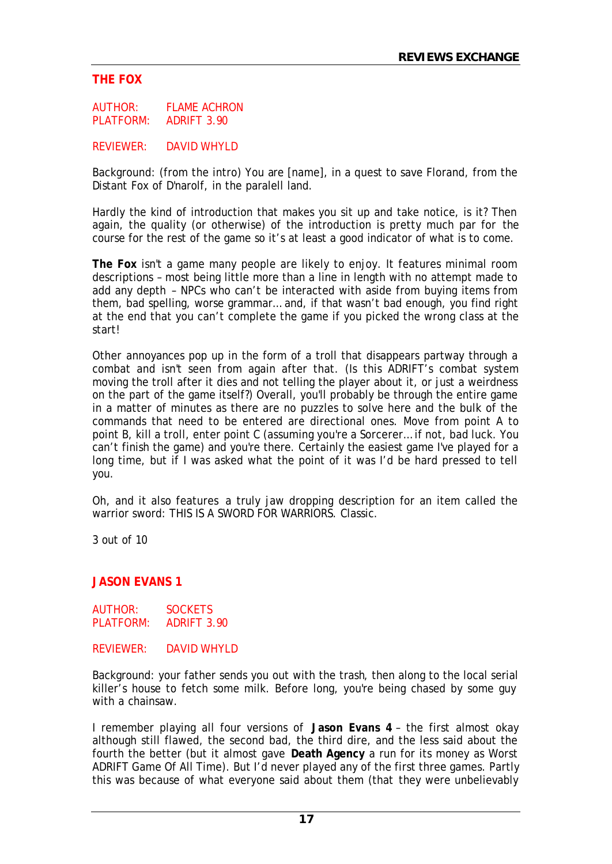# **THE FOX**

AUTHOR: FLAME ACHRON PLATFORM: ADRIFT 3.90

REVIEWER: DAVID WHYLD

Background: (from the intro) You are [name], in a quest to save Florand, from the Distant Fox of D'narolf, in the paralell land.

Hardly the kind of introduction that makes you sit up and take notice, is it? Then again, the quality (or otherwise) of the introduction is pretty much par for the course for the rest of the game so it's at least a good indicator of what is to come.

**The Fox** isn't a game many people are likely to enjoy. It features minimal room descriptions – most being little more than a line in length with no attempt made to add any depth – NPCs who can't be interacted with aside from buying items from them, bad spelling, worse grammar… and, if that wasn't bad enough, you find right at the end that you can't complete the game if you picked the wrong class at the start!

Other annoyances pop up in the form of a troll that disappears partway through a combat and isn't seen from again after that. (Is this ADRIFT's combat system moving the troll after it dies and not telling the player about it, or just a weirdness on the part of the game itself?) Overall, you'll probably be through the entire game in a matter of minutes as there are no puzzles to solve here and the bulk of the commands that need to be entered are directional ones. Move from point A to point B, kill a troll, enter point C (assuming you're a Sorcerer… if not, bad luck. You can't finish the game) and you're there. Certainly the easiest game I've played for a long time, but if I was asked what the point of it was I'd be hard pressed to tell you.

Oh, and it also features a truly jaw dropping description for an item called the warrior sword: THIS IS A SWORD FOR WARRIORS. Classic.

3 out of 10

#### **JASON EVANS 1**

AUTHOR: SOCKETS PLATFORM: ADRIFT 3.90

#### REVIEWER: DAVID WHYLD

Background: your father sends you out with the trash, then along to the local serial killer's house to fetch some milk. Before long, you're being chased by some guy with a chainsaw.

I remember playing all four versions of **Jason Evans 4** – the first almost okay although still flawed, the second bad, the third dire, and the less said about the fourth the better (but it almost gave **Death Agency** a run for its money as Worst ADRIFT Game Of All Time). But I'd never played any of the first three games. Partly this was because of what everyone said about them (that they were unbelievably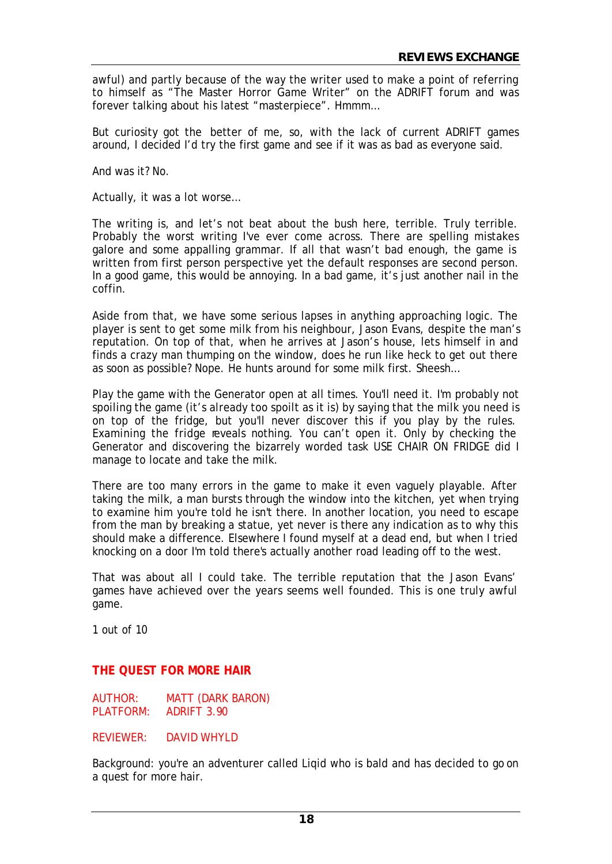awful) and partly because of the way the writer used to make a point of referring to himself as "The Master Horror Game Writer" on the ADRIFT forum and was forever talking about his latest "masterpiece". Hmmm…

But curiosity got the better of me, so, with the lack of current ADRIFT games around, I decided I'd try the first game and see if it was as bad as everyone said.

And was it? No.

Actually, it was a lot worse…

The writing is, and let's not beat about the bush here, terrible. Truly terrible. Probably the worst writing I've ever come across. There are spelling mistakes galore and some appalling grammar. If all that wasn't bad enough, the game is written from first person perspective yet the default responses are second person. In a good game, this would be annoying. In a bad game, it's just another nail in the coffin.

Aside from that, we have some serious lapses in anything approaching logic. The player is sent to get some milk from his neighbour, Jason Evans, despite the man's reputation. On top of that, when he arrives at Jason's house, lets himself in and finds a crazy man thumping on the window, does he run like heck to get out there as soon as possible? Nope. He hunts around for some milk first. Sheesh…

Play the game with the Generator open at all times. You'll need it. I'm probably not spoiling the game (it's already too spoilt as it is) by saying that the milk you need is on top of the fridge, but you'll never discover this if you play by the rules. Examining the fridge reveals nothing. You can't open it. Only by checking the Generator and discovering the bizarrely worded task USE CHAIR ON FRIDGE did I manage to locate and take the milk.

There are too many errors in the game to make it even vaguely playable. After taking the milk, a man bursts through the window into the kitchen, yet when trying to examine him you're told he isn't there. In another location, you need to escape from the man by breaking a statue, yet never is there any indication as to why this should make a difference. Elsewhere I found myself at a dead end, but when I tried knocking on a door I'm told there's actually another road leading off to the west.

That was about all I could take. The terrible reputation that the Jason Evans' games have achieved over the years seems well founded. This is one truly awful game.

1 out of 10

#### **THE QUEST FOR MORE HAIR**

AUTHOR: MATT (DARK BARON) PLATFORM: ADRIFT 3.90

REVIEWER: DAVID WHYLD

Background: you're an adventurer called Liqid who is bald and has decided to go on a quest for more hair.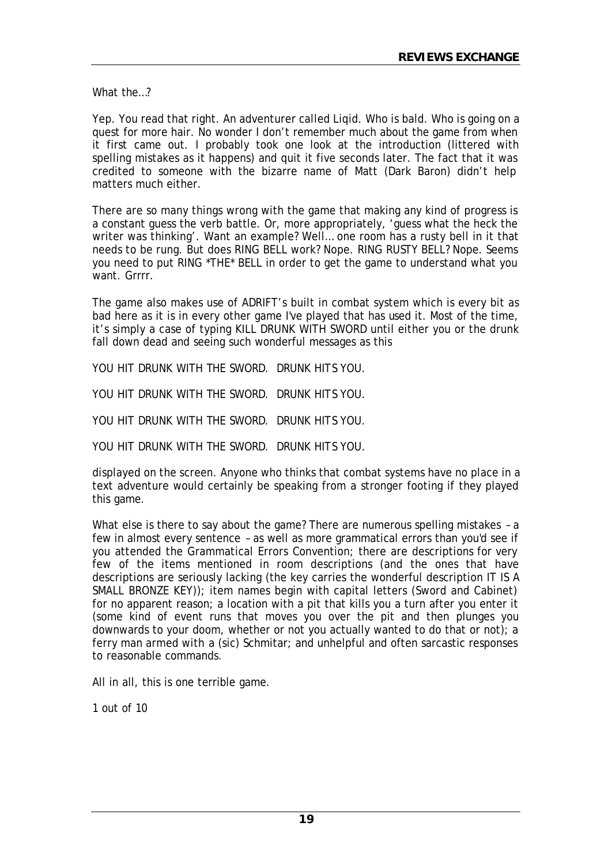What the…?

Yep. You read that right. An adventurer called Liqid. Who is bald. Who is going on a quest for more hair. No wonder I don't remember much about the game from when it first came out. I probably took one look at the introduction (littered with spelling mistakes as it happens) and quit it five seconds later. The fact that it was credited to someone with the bizarre name of Matt (Dark Baron) didn't help matters much either.

There are so many things wrong with the game that making any kind of progress is a constant guess the verb battle. Or, more appropriately, 'guess what the heck the writer was thinking'. Want an example? Well… one room has a rusty bell in it that needs to be rung. But does RING BELL work? Nope. RING RUSTY BELL? Nope. Seems you need to put RING \*THE\* BELL in order to get the game to understand what you want. Grrrr.

The game also makes use of ADRIFT's built in combat system which is every bit as bad here as it is in every other game I've played that has used it. Most of the time, it's simply a case of typing KILL DRUNK WITH SWORD until either you or the drunk fall down dead and seeing such wonderful messages as this

YOU HIT DRUNK WITH THE SWORD. DRUNK HITS YOU.

YOU HIT DRUNK WITH THE SWORD. DRUNK HITS YOU.

YOU HIT DRUNK WITH THE SWORD. DRUNK HITS YOU.

YOU HIT DRUNK WITH THE SWORD. DRUNK HITS YOU.

displayed on the screen. Anyone who thinks that combat systems have no place in a text adventure would certainly be speaking from a stronger footing if they played this game.

What else is there to say about the game? There are numerous spelling mistakes – a few in almost every sentence – as well as more grammatical errors than you'd see if you attended the Grammatical Errors Convention; there are descriptions for very few of the items mentioned in room descriptions (and the ones that have descriptions are seriously lacking (the key carries the wonderful description IT IS A SMALL BRONZE KEY)); item names begin with capital letters (Sword and Cabinet) for no apparent reason; a location with a pit that kills you a turn after you enter it (some kind of event runs that moves you over the pit and then plunges you downwards to your doom, whether or not you actually wanted to do that or not); a ferry man armed with a (sic) Schmitar; and unhelpful and often sarcastic responses to reasonable commands.

All in all, this is one terrible game.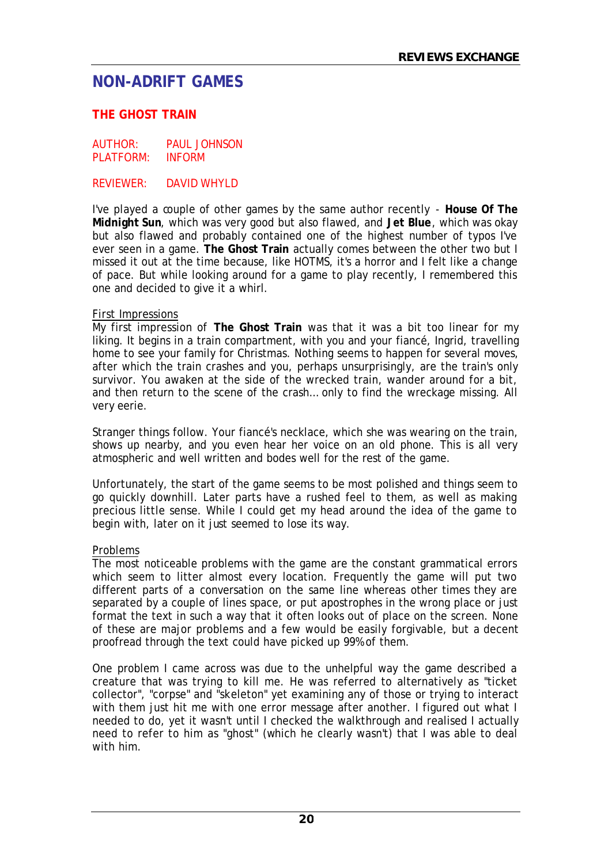# **NON-ADRIFT GAMES**

# **THE GHOST TRAIN**

AUTHOR: PAUL JOHNSON PLATFORM: INFORM

REVIEWER: DAVID WHYLD

I've played a couple of other games by the same author recently - **House Of The Midnight Sun**, which was very good but also flawed, and **Jet Blue**, which was okay but also flawed and probably contained one of the highest number of typos I've ever seen in a game. **The Ghost Train** actually comes between the other two but I missed it out at the time because, like HOTMS, it's a horror and I felt like a change of pace. But while looking around for a game to play recently, I remembered this one and decided to give it a whirl.

#### First Impressions

My first impression of **The Ghost Train** was that it was a bit too linear for my liking. It begins in a train compartment, with you and your fiancé, Ingrid, travelling home to see your family for Christmas. Nothing seems to happen for several moves, after which the train crashes and you, perhaps unsurprisingly, are the train's only survivor. You awaken at the side of the wrecked train, wander around for a bit, and then return to the scene of the crash… only to find the wreckage missing. All very eerie.

Stranger things follow. Your fiancé's necklace, which she was wearing on the train, shows up nearby, and you even hear her voice on an old phone. This is all very atmospheric and well written and bodes well for the rest of the game.

Unfortunately, the start of the game seems to be most polished and things seem to go quickly downhill. Later parts have a rushed feel to them, as well as making precious little sense. While I could get my head around the idea of the game to begin with, later on it just seemed to lose its way.

#### Problems

The most noticeable problems with the game are the constant grammatical errors which seem to litter almost every location. Frequently the game will put two different parts of a conversation on the same line whereas other times they are separated by a couple of lines space, or put apostrophes in the wrong place or just format the text in such a way that it often looks out of place on the screen. None of these are major problems and a few would be easily forgivable, but a decent proofread through the text could have picked up 99% of them.

One problem I came across was due to the unhelpful way the game described a creature that was trying to kill me. He was referred to alternatively as "ticket collector", "corpse" and "skeleton" yet examining any of those or trying to interact with them just hit me with one error message after another. I figured out what I needed to do, yet it wasn't until I checked the walkthrough and realised I actually need to refer to him as "ghost" (which he clearly wasn't) that I was able to deal with him.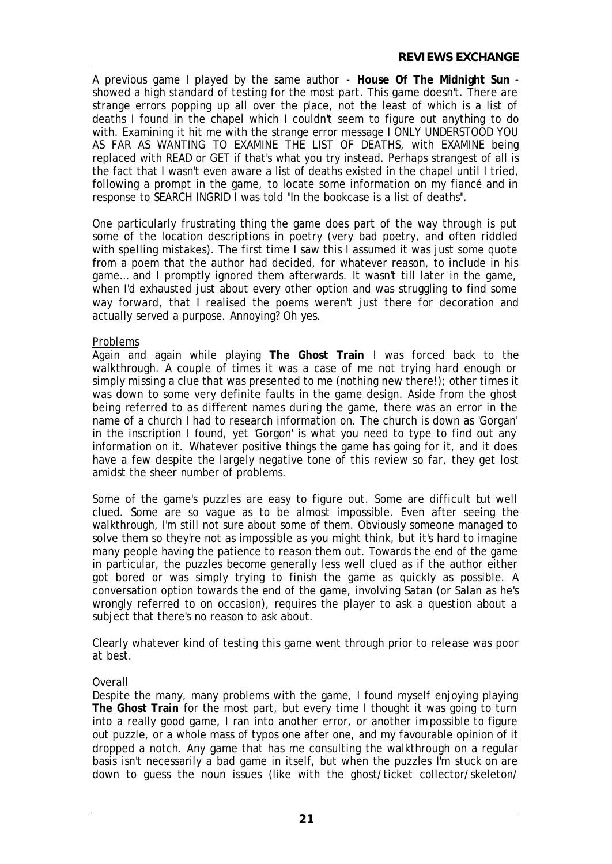A previous game I played by the same author - **House Of The Midnight Sun** showed a high standard of testing for the most part. This game doesn't. There are strange errors popping up all over the place, not the least of which is a list of deaths I found in the chapel which I couldn't seem to figure out anything to do with. Examining it hit me with the strange error message I ONLY UNDERSTOOD YOU AS FAR AS WANTING TO EXAMINE THE LIST OF DEATHS, with EXAMINE being replaced with READ or GET if that's what you try instead. Perhaps strangest of all is the fact that I wasn't even aware a list of deaths existed in the chapel until I tried, following a prompt in the game, to locate some information on my fiancé and in response to SEARCH INGRID I was told "In the bookcase is a list of deaths".

One particularly frustrating thing the game does part of the way through is put some of the location descriptions in poetry (very bad poetry, and often riddled with spelling mistakes). The first time I saw this I assumed it was just some quote from a poem that the author had decided, for whatever reason, to include in his game… and I promptly ignored them afterwards. It wasn't till later in the game, when I'd exhausted just about every other option and was struggling to find some way forward, that I realised the poems weren't just there for decoration and actually served a purpose. Annoying? Oh yes.

## Problems

Again and again while playing **The Ghost Train** I was forced back to the walkthrough. A couple of times it was a case of me not trying hard enough or simply missing a clue that was presented to me (nothing new there!); other times it was down to some very definite faults in the game design. Aside from the ghost being referred to as different names during the game, there was an error in the name of a church I had to research information on. The church is down as 'Gorgan' in the inscription I found, yet 'Gorgon' is what you need to type to find out any information on it. Whatever positive things the game has going for it, and it does have a few despite the largely negative tone of this review so far, they get lost amidst the sheer number of problems.

Some of the game's puzzles are easy to figure out. Some are difficult but well clued. Some are so vague as to be almost impossible. Even after seeing the walkthrough, I'm still not sure about some of them. Obviously someone managed to solve them so they're not as impossible as you might think, but it's hard to imagine many people having the patience to reason them out. Towards the end of the game in particular, the puzzles become generally less well clued as if the author either got bored or was simply trying to finish the game as quickly as possible. A conversation option towards the end of the game, involving Satan (or Salan as he's wrongly referred to on occasion), requires the player to ask a question about a subject that there's no reason to ask about.

Clearly whatever kind of testing this game went through prior to release was poor at best.

#### Overall

Despite the many, many problems with the game, I found myself enjoying playing **The Ghost Train** for the most part, but every time I thought it was going to turn into a really good game, I ran into another error, or another impossible to figure out puzzle, or a whole mass of typos one after one, and my favourable opinion of it dropped a notch. Any game that has me consulting the walkthrough on a regular basis isn't necessarily a bad game in itself, but when the puzzles I'm stuck on are down to guess the noun issues (like with the ghost/ticket collector/skeleton/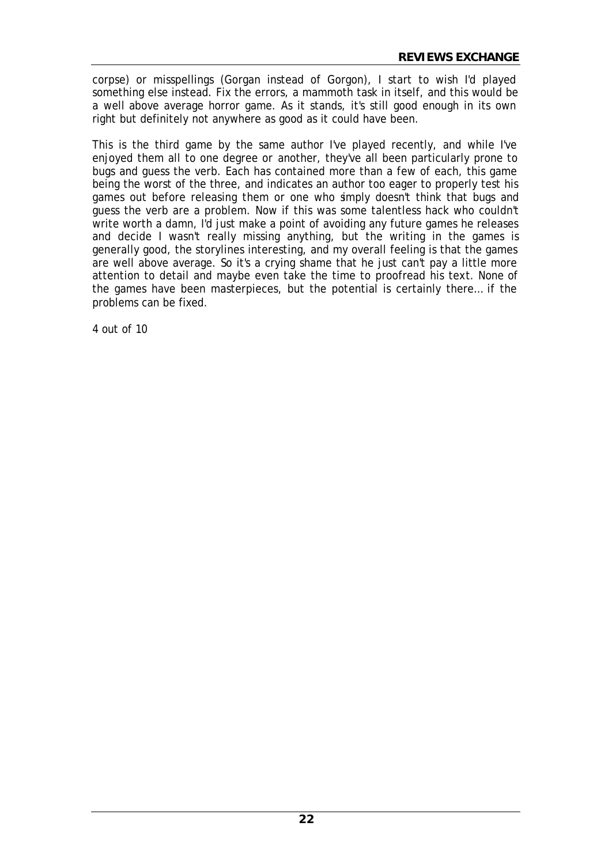corpse) or misspellings (Gorgan instead of Gorgon), I start to wish I'd played something else instead. Fix the errors, a mammoth task in itself, and this would be a well above average horror game. As it stands, it's still good enough in its own right but definitely not anywhere as good as it could have been.

This is the third game by the same author I've played recently, and while I've enjoyed them all to one degree or another, they've all been particularly prone to bugs and guess the verb. Each has contained more than a few of each, this game being the worst of the three, and indicates an author too eager to properly test his games out before releasing them or one who simply doesn't think that bugs and guess the verb are a problem. Now if this was some talentless hack who couldn't write worth a damn, I'd just make a point of avoiding any future games he releases and decide I wasn't really missing anything, but the writing in the games is generally good, the storylines interesting, and my overall feeling is that the games are well above average. So it's a crying shame that he just can't pay a little more attention to detail and maybe even take the time to proofread his text. None of the games have been masterpieces, but the potential is certainly there… if the problems can be fixed.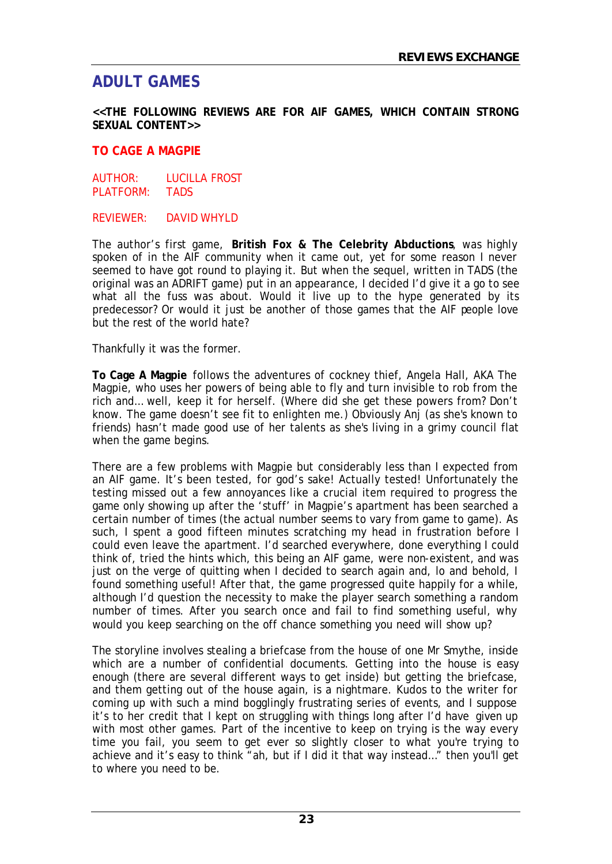# **ADULT GAMES**

**<<THE FOLLOWING REVIEWS ARE FOR AIF GAMES, WHICH CONTAIN STRONG SEXUAL CONTENT>>**

#### **TO CAGE A MAGPIE**

AUTHOR: LUCILLA FROST PLATFORM: TADS

#### REVIEWER: DAVID WHYLD

The author's first game, **British Fox & The Celebrity Abductions**, was highly spoken of in the AIF community when it came out, yet for some reason I never seemed to have got round to playing it. But when the sequel, written in TADS (the original was an ADRIFT game) put in an appearance, I decided I'd give it a go to see what all the fuss was about. Would it live up to the hype generated by its predecessor? Or would it just be another of those games that the AIF people love but the rest of the world hate?

Thankfully it was the former.

**To Cage A Magpie** follows the adventures of cockney thief, Angela Hall, AKA The Magpie, who uses her powers of being able to fly and turn invisible to rob from the rich and… well, keep it for herself. (Where did she get these powers from? Don't know. The game doesn't see fit to enlighten me.) Obviously Anj (as she's known to friends) hasn't made good use of her talents as she's living in a grimy council flat when the game begins.

There are a few problems with Magpie but considerably less than I expected from an AIF game. It's been tested, for god's sake! Actually tested! Unfortunately the testing missed out a few annoyances like a crucial item required to progress the game only showing up after the 'stuff' in Magpie's apartment has been searched a certain number of times (the actual number seems to vary from game to game). As such, I spent a good fifteen minutes scratching my head in frustration before I could even leave the apartment. I'd searched everywhere, done everything I could think of, tried the hints which, this being an AIF game, were non-existent, and was just on the verge of quitting when I decided to search again and, lo and behold, I found something useful! After that, the game progressed quite happily for a while, although I'd question the necessity to make the player search something a random number of times. After you search once and fail to find something useful, why would you keep searching on the off chance something you need will show up?

The storyline involves stealing a briefcase from the house of one Mr Smythe, inside which are a number of confidential documents. Getting into the house is easy enough (there are several different ways to get inside) but getting the briefcase, and them getting out of the house again, is a nightmare. Kudos to the writer for coming up with such a mind bogglingly frustrating series of events, and I suppose it's to her credit that I kept on struggling with things long after I'd have given up with most other games. Part of the incentive to keep on trying is the way every time you fail, you seem to get ever so slightly closer to what you're trying to achieve and it's easy to think "ah, but if I did it that way instead…" then you'll get to where you need to be.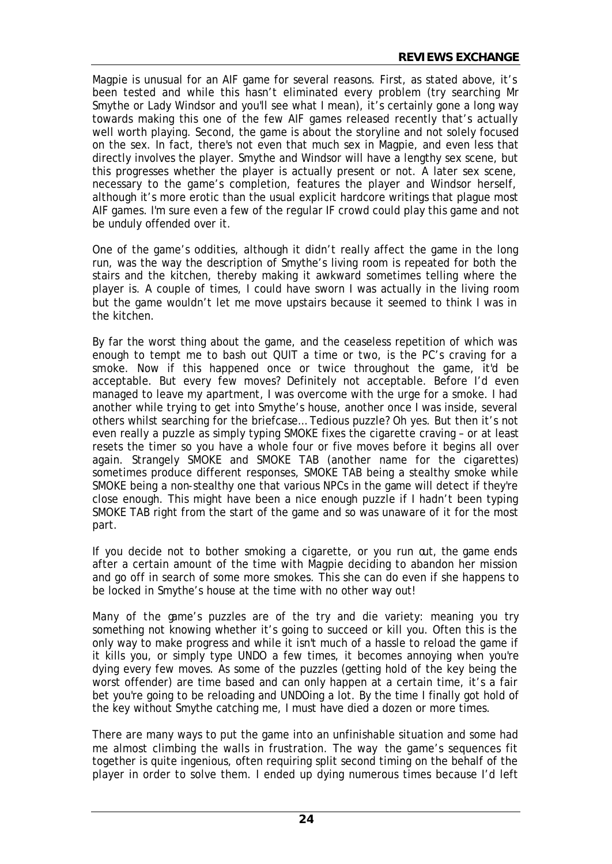Magpie is unusual for an AIF game for several reasons. First, as stated above, it's been tested and while this hasn't eliminated every problem (try searching Mr Smythe or Lady Windsor and you'll see what I mean), it's certainly gone a long way towards making this one of the few AIF games released recently that's actually well worth playing. Second, the game is about the storyline and not solely focused on the sex. In fact, there's not even that much sex in Magpie, and even less that directly involves the player. Smythe and Windsor will have a lengthy sex scene, but this progresses whether the player is actually present or not. A later sex scene, necessary to the game's completion, features the player and Windsor herself, although it's more erotic than the usual explicit hardcore writings that plague most AIF games. I'm sure even a few of the regular IF crowd could play this game and not be unduly offended over it.

One of the game's oddities, although it didn't really affect the game in the long run, was the way the description of Smythe's living room is repeated for both the stairs and the kitchen, thereby making it awkward sometimes telling where the player is. A couple of times, I could have sworn I was actually in the living room but the game wouldn't let me move upstairs because it seemed to think I was in the kitchen.

By far the worst thing about the game, and the ceaseless repetition of which was enough to tempt me to bash out QUIT a time or two, is the PC's craving for a smoke. Now if this happened once or twice throughout the game, it'd be acceptable. But every few moves? Definitely not acceptable. Before I'd even managed to leave my apartment, I was overcome with the urge for a smoke. I had another while trying to get into Smythe's house, another once I was inside, several others whilst searching for the briefcase… Tedious puzzle? Oh yes. But then it's not even really a puzzle as simply typing SMOKE fixes the cigarette craving – or at least resets the timer so you have a whole four or five moves before it begins all over again. Strangely SMOKE and SMOKE TAB (another name for the cigarettes) sometimes produce different responses, SMOKE TAB being a stealthy smoke while SMOKE being a non-stealthy one that various NPCs in the game will detect if they're close enough. This might have been a nice enough puzzle if I hadn't been typing SMOKE TAB right from the start of the game and so was unaware of it for the most part.

If you decide not to bother smoking a cigarette, or you run out, the game ends after a certain amount of the time with Magpie deciding to abandon her mission and go off in search of some more smokes. This she can do even if she happens to be locked in Smythe's house at the time with no other way out!

Many of the game's puzzles are of the try and die variety: meaning you try something not knowing whether it's going to succeed or kill you. Often this is the only way to make progress and while it isn't much of a hassle to reload the game if it kills you, or simply type UNDO a few times, it becomes annoying when you're dying every few moves. As some of the puzzles (getting hold of the key being the worst offender) are time based and can only happen at a certain time, it's a fair bet you're going to be reloading and UNDOing a lot. By the time I finally got hold of the key without Smythe catching me, I must have died a dozen or more times.

There are many ways to put the game into an unfinishable situation and some had me almost climbing the walls in frustration. The way the game's sequences fit together is quite ingenious, often requiring split second timing on the behalf of the player in order to solve them. I ended up dying numerous times because I'd left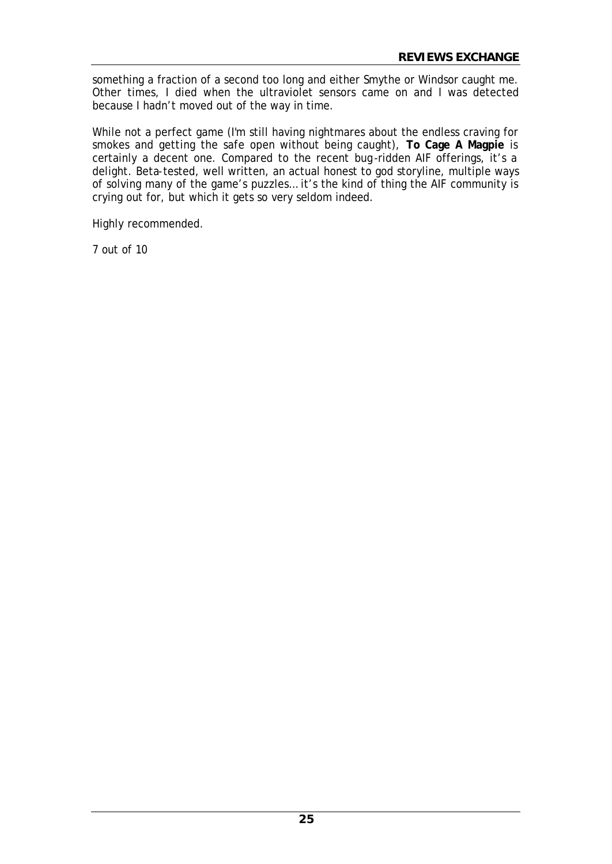something a fraction of a second too long and either Smythe or Windsor caught me. Other times, I died when the ultraviolet sensors came on and I was detected because I hadn't moved out of the way in time.

While not a perfect game (I'm still having nightmares about the endless craving for smokes and getting the safe open without being caught), **To Cage A Magpie** is certainly a decent one. Compared to the recent bug-ridden AIF offerings, it's a delight. Beta-tested, well written, an actual honest to god storyline, multiple ways of solving many of the game's puzzles… it's the kind of thing the AIF community is crying out for, but which it gets so very seldom indeed.

Highly recommended.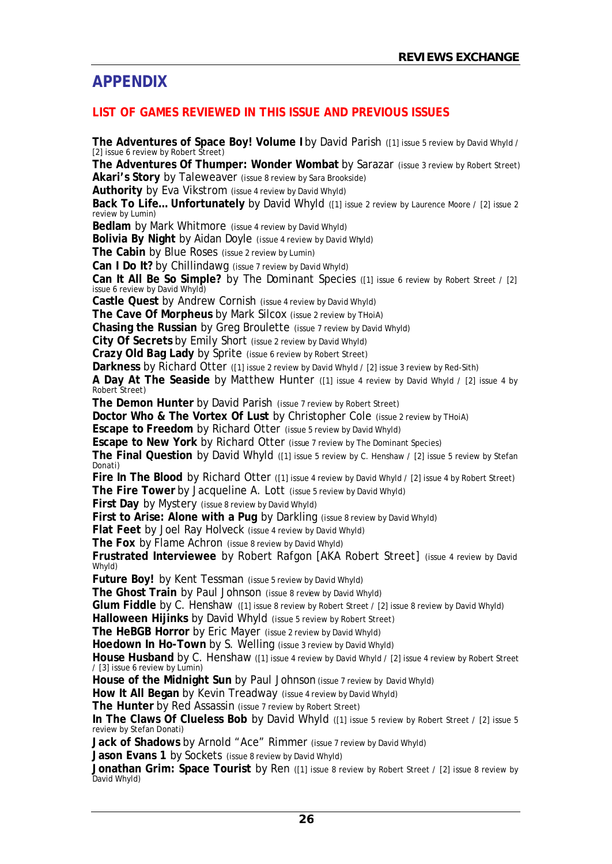# **APPENDIX**

## **LIST OF GAMES REVIEWED IN THIS ISSUE AND PREVIOUS ISSUES**

**The Adventures of Space Boy! Volume I** by David Parish ([1] issue 5 review by David Whyld / [2] issue 6 review by Robert Street) **The Adventures Of Thumper: Wonder Wombat** by Sarazar (issue 3 review by Robert Street) **Akari's Story** by Taleweaver (issue 8 review by Sara Brookside) **Authority** by Eva Vikstrom (issue 4 review by David Whyld) **Back To Life... Unfortunately** by David Whyld ([1] issue 2 review by Laurence Moore / [2] issue 2 review by Lumin) **Bedlam** by Mark Whitmore (issue 4 review by David Whyld) **Bolivia By Night** by Aidan Doyle (issue 4 review by David Whyld) **The Cabin** by Blue Roses (issue 2 review by Lumin) **Can I Do It?** by Chillindawg (issue 7 review by David Whyld) **Can It All Be So Simple?** by The Dominant Species ([1] issue 6 review by Robert Street / [2] issue 6 review by David Whyld) **Castle Quest** by Andrew Cornish (issue 4 review by David Whyld) **The Cave Of Morpheus** by Mark Silcox (issue 2 review by THoiA) **Chasing the Russian** by Greg Broulette (issue 7 review by David Whyld) **City Of Secrets** by Emily Short (issue 2 review by David Whyld) **Crazy Old Bag Lady** by Sprite (issue 6 review by Robert Street) **Darkness** by Richard Otter ([1] issue 2 review by David Whyld / [2] issue 3 review by Red-Sith) **A Day At The Seaside** by Matthew Hunter ([1] issue 4 review by David Whyld / [2] issue 4 by Robert Street) **The Demon Hunter** by David Parish (issue 7 review by Robert Street) **Doctor Who & The Vortex Of Lust** by Christopher Cole (issue 2 review by THoiA) **Escape to Freedom** by Richard Otter (issue 5 review by David Whyld) **Escape to New York** by Richard Otter (issue 7 review by The Dominant Species) **The Final Question** by David Whyld ([1] issue 5 review by C. Henshaw / [2] issue 5 review by Stefan Donati) **Fire In The Blood** by Richard Otter ([1] issue 4 review by David Whyld / [2] issue 4 by Robert Street) **The Fire Tower** by Jacqueline A. Lott (issue 5 review by David Whyld) **First Day** by Mystery (issue 8 review by David Whyld) **First to Arise: Alone with a Pug** by Darkling (issue 8 review by David Whyld) **Flat Feet** by Joel Ray Holveck (issue 4 review by David Whyld) **The Fox** by Flame Achron (issue 8 review by David Whyld) **Frustrated Interviewee** by Robert Rafgon [AKA Robert Street] (issue 4 review by David Whyld) **Future Boy!** by Kent Tessman (issue 5 review by David Whyld) **The Ghost Train** by Paul Johnson (issue 8 review by David Whyld) **Glum Fiddle** by C. Henshaw ([1] issue 8 review by Robert Street / [2] issue 8 review by David Whyld) **Halloween Hijinks** by David Whyld (issue 5 review by Robert Street) **The HeBGB Horror** by Eric Mayer (issue 2 review by David Whyld) **Hoedown In Ho-Town** by S. Welling (issue 3 review by David Whyld) House Husband by C. Henshaw ([1] issue 4 review by David Whyld / [2] issue 4 review by Robert Street / [3] issue 6 review by Lumin) **House of the Midnight Sun** by Paul Johnson (issue 7 review by David Whyld) **How It All Began** by Kevin Treadway (issue 4 review by David Whyld) **The Hunter** by Red Assassin (issue 7 review by Robert Street) In The Claws Of Clueless Bob by David Whyld ([1] issue 5 review by Robert Street / [2] issue 5 review by Stefan Donati) **Jack of Shadows** by Arnold "Ace" Rimmer (issue 7 review by David Whyld) **Jason Evans 1** by Sockets (issue 8 review by David Whyld)

**Jonathan Grim: Space Tourist** by Ren ([1] issue 8 review by Robert Street / [2] issue 8 review by David Whyld)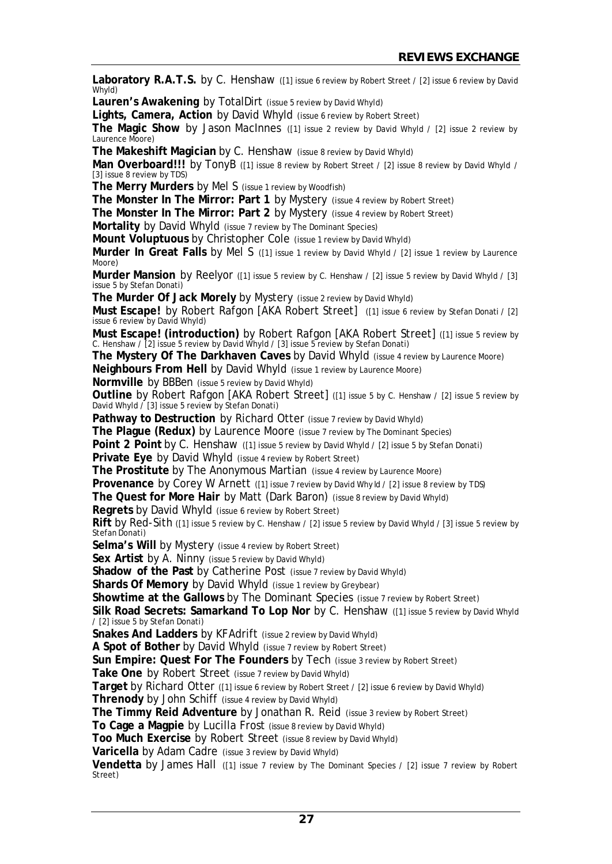**Laboratory R.A.T.S.** by C. Henshaw ([1] issue 6 review by Robert Street / [2] issue 6 review by David Whyld) **Lauren's Awakening** by TotalDirt (issue 5 review by David Whyld) **Lights, Camera, Action** by David Whyld (issue 6 review by Robert Street) **The Magic Show** by Jason MacInnes ([1] issue 2 review by David Whyld / [2] issue 2 review by Laurence Moore) **The Makeshift Magician** by C. Henshaw (issue 8 review by David Whyld) Man Overboard!!! by TonyB ([1] issue 8 review by Robert Street / [2] issue 8 review by David Whyld / [3] issue 8 review by TDS) **The Merry Murders** by Mel S (issue 1 review by Woodfish) **The Monster In The Mirror: Part 1** by Mystery (issue 4 review by Robert Street) **The Monster In The Mirror: Part 2** by Mystery (issue 4 review by Robert Street) **Mortality** by David Whyld (issue 7 review by The Dominant Species) **Mount Voluptuous** by Christopher Cole (issue 1 review by David Whyld) **Murder In Great Falls** by Mel S ([1] issue 1 review by David Whyld / [2] issue 1 review by Laurence Moore) **Murder Mansion** by Reelyor ([1] issue 5 review by C. Henshaw / [2] issue 5 review by David Whyld / [3] issue 5 by Stefan Donati) **The Murder Of Jack Morely** by Mystery (issue 2 review by David Whyld) **Must Escape!** by Robert Rafgon [AKA Robert Street] ([1] issue 6 review by Stefan Donati / [2] issue 6 review by David Whyld) **Must Escape! (introduction)** by Robert Rafgon [AKA Robert Street] ([1] issue 5 review by C. Henshaw / [2] issue 5 review by David Whyld / [3] issue 5 review by Stefan Donati) **The Mystery Of The Darkhaven Caves** by David Whyld (issue 4 review by Laurence Moore) **Neighbours From Hell** by David Whyld (issue 1 review by Laurence Moore) **Normville** by BBBen (issue 5 review by David Whyld) **Outline** by Robert Rafgon [AKA Robert Street] ([1] issue 5 by C. Henshaw / [2] issue 5 review by David Whyld / [3] issue 5 review by Stefan Donati) Pathway to Destruction by Richard Otter (issue 7 review by David Whyld) **The Plague (Redux)** by Laurence Moore (issue 7 review by The Dominant Species) **Point 2 Point** by C. Henshaw ([1] issue 5 review by David Whyld / [2] issue 5 by Stefan Donati) **Private Eye** by David Whyld (issue 4 review by Robert Street) **The Prostitute** by The Anonymous Martian (issue 4 review by Laurence Moore) **Provenance** by Corey W Arnett ([1] issue 7 review by David Why Id / [2] issue 8 review by TDS) **The Quest for More Hair** by Matt (Dark Baron) (issue 8 review by David Whyld) **Regrets** by David Whyld (issue 6 review by Robert Street) **Rift** by Red-Sith ([1] issue 5 review by C. Henshaw / [2] issue 5 review by David Whyld / [3] issue 5 review by Stefan Donati) Selma's Will by Mystery (issue 4 review by Robert Street) **Sex Artist** by A. Ninny (issue 5 review by David Whyld) **Shadow of the Past** by Catherine Post (issue 7 review by David Whyld) **Shards Of Memory** by David Whyld (issue 1 review by Greybear) **Showtime at the Gallows** by The Dominant Species (issue 7 review by Robert Street) **Silk Road Secrets: Samarkand To Lop Nor** by C. Henshaw ([1] issue 5 review by David Whyld / [2] issue 5 by Stefan Donati) **Snakes And Ladders** by KFAdrift (issue 2 review by David Whyld) **A Spot of Bother** by David Whyld (issue 7 review by Robert Street) **Sun Empire: Quest For The Founders** by Tech (issue 3 review by Robert Street) **Take One** by Robert Street (issue 7 review by David Whyld) **Target** by Richard Otter ([1] issue 6 review by Robert Street / [2] issue 6 review by David Whyld) **Threnody** by John Schiff (issue 4 review by David Whyld) **The Timmy Reid Adventure** by Jonathan R. Reid (issue 3 review by Robert Street) **To Cage a Magpie** by Lucilla Frost (issue 8 review by David Whyld) **Too Much Exercise** by Robert Street (issue 8 review by David Whyld) **Varicella** by Adam Cadre (issue 3 review by David Whyld) Vendetta by James Hall ([1] issue 7 review by The Dominant Species / [2] issue 7 review by Robert Street)